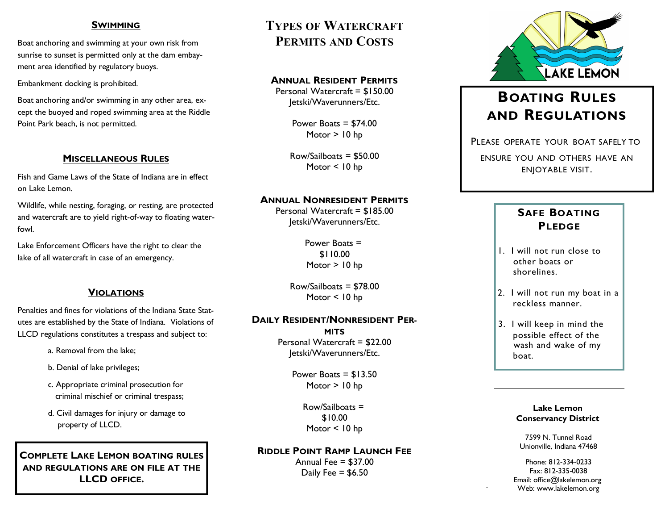### **SWIMMING**

Boat anchoring and swimming at your own risk from sunrise to sunset is permitted only at the dam embayment area identified by regulatory buoys.

Embankment docking is prohibited.

Boat anchoring and/or swimming in any other area, except the buoyed and roped swimming area at the Riddle Point Park beach, is not permitted.

### **MISCELLANEOUS RULES**

Fish and Game Laws of the State of Indiana are in effect on Lake Lemon.

Wildlife, while nesting, foraging, or resting, are protected and watercraft are to yield right-of-way to floating waterfowl.

Lake Enforcement Officers have the right to clear the lake of all watercraft in case of an emergency.

# **VIOLATIONS**

Penalties and fines for violations of the Indiana State Statutes are established by the State of Indiana. Violations of LLCD regulations constitutes a trespass and subject to:

- a. Removal from the lake;
- b. Denial of lake privileges;
- c. Appropriate criminal prosecution for criminal mischief or criminal trespass;
- d. Civil damages for injury or damage to property of LLCD.

**COMPLETE LAKE LEMON BOATING RULES AND REGULATIONS ARE ON FILE AT THE LLCD OFFICE.**

# **TYPES OF WATERCRAFT PERMITS AND COSTS**

### **ANNUAL RESIDENT PERMITS**

Personal Watercraft = \$150.00 Jetski/Waverunners/Etc.

> Power Boats = \$74.00 Motor > 10 hp

 $Row/Sailbosts = $50.00$ Motor < 10 hp

### **ANNUAL NONRESIDENT PERMITS**

Personal Watercraft = \$185.00 Jetski/Waverunners/Etc.

> Power Boats = \$110.00 Motor > 10 hp

Row/Sailboats = \$78.00 Motor < 10 hp

### **DAILY RESIDENT/NONRESIDENT PER-**

**MITS** Personal Watercraft = \$22.00 Jetski/Waverunners/Etc.

> Power Boats  $=$  \$13.50 Motor > 10 hp

> > Row/Sailboats = \$10.00 Motor < 10 hp

### **RIDDLE POINT RAMP LAUNCH FEE**

Annual Fee  $=$  \$37.00 Daily Fee  $=$  \$6.50



# **BOATING RULES AND REGULATIONS**

PLEASE OPERATE YOUR BOAT SAFELY TO

ENSURE YOU AND OTHERS HAVE AN ENJOYABLE VISIT.

# **SAFE BOATING PLEDGE**

- 1. I will not run close to other boats or shorelines.
- 2. I will not run my boat in a reckless manner.
- 3. I will keep in mind the possible effect of the wash and wake of my boat.

#### **Lake Lemon Conservancy District**

7599 N. Tunnel Road Unionville, Indiana 47468

Phone: 812-334-0233 Fax: 812-335-0038 Email: office@lakelemon.org Web: www.lakelemon.org